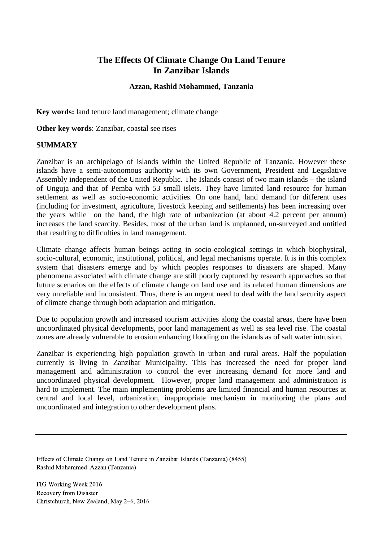# **The Effects Of Climate Change On Land Tenure In Zanzibar Islands**

### **Azzan, Rashid Mohammed, Tanzania**

<span id="page-0-0"></span>**Key words:** land tenure land management; climate change

**Other key words**: Zanzibar, coastal see rises

#### <span id="page-0-1"></span>**SUMMARY**

Zanzibar is an archipelago of islands within the United Republic of Tanzania. However these islands have a semi-autonomous authority with its own Government, President and Legislative Assembly independent of the United Republic. The Islands consist of two main islands – the island of Unguja and that of Pemba with 53 small islets. They have limited land resource for human settlement as well as socio-economic activities. On one hand, land demand for different uses (including for investment, agriculture, livestock keeping and settlements) has been increasing over the years while on the hand, the high rate of urbanization (at about 4.2 percent per annum) increases the land scarcity. Besides, most of the urban land is unplanned, un-surveyed and untitled that resulting to difficulties in land management.

Climate change affects human beings acting in socio-ecological settings in which biophysical, socio-cultural, economic, institutional, political, and legal mechanisms operate. It is in this complex system that disasters emerge and by which peoples responses to disasters are shaped. Many phenomena associated with climate change are still poorly captured by research approaches so that future scenarios on the effects of climate change on land use and its related human dimensions are very unreliable and inconsistent. Thus, there is an urgent need to deal with the land security aspect of climate change through both adaptation and mitigation.

Due to population growth and increased tourism activities along the coastal areas, there have been uncoordinated physical developments, poor land management as well as sea level rise. The coastal zones are already vulnerable to erosion enhancing flooding on the islands as of salt water intrusion.

Zanzibar is experiencing high population growth in urban and rural areas. Half the population currently is living in Zanzibar Municipality. This has increased the need for proper land management and administration to control the ever increasing demand for more land and uncoordinated physical development. However, proper land management and administration is hard to implement. The main implementing problems are limited financial and human resources at central and local level, urbanization, inappropriate mechanism in monitoring the plans and uncoordinated and integration to other development plans.

Effects of Climate Change on Land Tenure in Zanzibar Islands (Tanzania) (8455) Rashid Mohammed Azzan (Tanzania)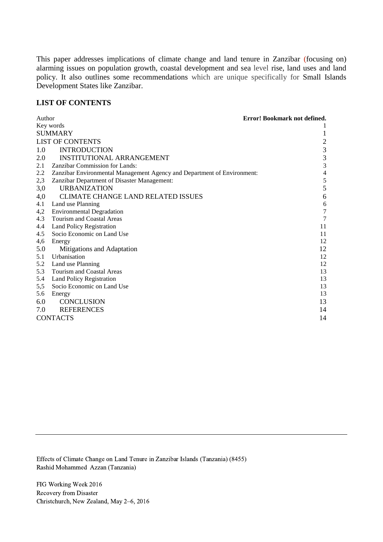This paper addresses implications of climate change and land tenure in Zanzibar (focusing on) alarming issues on population growth, coastal development and sea level rise, land uses and land policy. It also outlines some recommendations which are unique specifically for Small Islands Development States like Zanzibar.

#### <span id="page-1-0"></span>**LIST OF CONTENTS**

| Author                  |                                                                         | Error! Bookmark not defined. |
|-------------------------|-------------------------------------------------------------------------|------------------------------|
| Key words               |                                                                         |                              |
| <b>SUMMARY</b>          |                                                                         |                              |
| <b>LIST OF CONTENTS</b> |                                                                         | $\overline{c}$               |
| 1.0                     | <b>INTRODUCTION</b>                                                     | 3                            |
| 2.0                     | <b>INSTITUTIONAL ARRANGEMENT</b>                                        | 3                            |
| 2.1                     | <b>Zanzibar Commission for Lands:</b>                                   | $\mathfrak{Z}$               |
| 2.2                     | Zanzibar Environmental Management Agency and Department of Environment: | $\overline{4}$               |
| 2,3                     | Zanzibar Department of Disaster Management:                             | 5                            |
| 3,0                     | <b>URBANIZATION</b>                                                     | 5                            |
| 4,0                     | <b>CLIMATE CHANGE LAND RELATED ISSUES</b>                               | 6                            |
| 4.1                     | Land use Planning                                                       | 6                            |
| 4,2                     | <b>Environmental Degradation</b>                                        | $\overline{7}$               |
| 4.3                     | <b>Tourism and Coastal Areas</b>                                        | $\overline{7}$               |
| 4.4                     | <b>Land Policy Registration</b>                                         | 11                           |
| 4.5                     | Socio Economic on Land Use                                              | 11                           |
| 4,6                     | Energy                                                                  | 12                           |
| 5.0                     | Mitigations and Adaptation                                              | 12                           |
| 5.1                     | Urbanisation                                                            | 12                           |
| 5.2                     | Land use Planning                                                       | 12                           |
| 5.3                     | Tourism and Coastal Areas                                               | 13                           |
| 5.4                     | <b>Land Policy Registration</b>                                         | 13                           |
| 5,5<br>5.6              | Socio Economic on Land Use                                              | 13<br>13                     |
|                         | Energy<br><b>CONCLUSION</b>                                             |                              |
| 6.0                     |                                                                         | 13                           |
| 7.0                     | <b>REFERENCES</b>                                                       | 14                           |
| <b>CONTACTS</b>         |                                                                         | 14                           |

Effects of Climate Change on Land Tenure in Zanzibar Islands (Tanzania) (8455) Rashid Mohammed Azzan (Tanzania)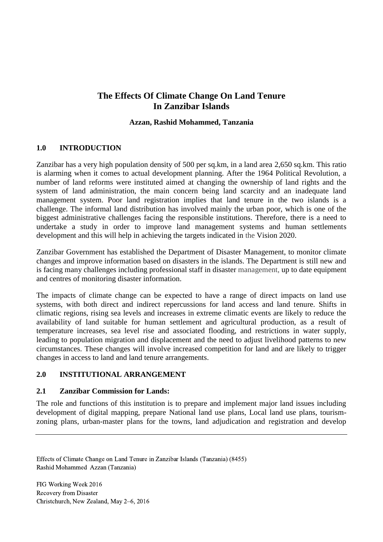# **The Effects Of Climate Change On Land Tenure In Zanzibar Islands**

#### **Azzan, Rashid Mohammed, Tanzania**

# <span id="page-2-0"></span>**1.0 INTRODUCTION**

Zanzibar has a very high population density of 500 per sq.km, in a land area 2,650 sq.km. This ratio is alarming when it comes to actual development planning. After the 1964 Political Revolution, a number of land reforms were instituted aimed at changing the ownership of land rights and the system of land administration, the main concern being land scarcity and an inadequate land management system. Poor land registration implies that land tenure in the two islands is a challenge. The informal land distribution has involved mainly the urban poor, which is one of the biggest administrative challenges facing the responsible institutions. Therefore, there is a need to undertake a study in order to improve land management systems and human settlements development and this will help in achieving the targets indicated in the Vision 2020.

Zanzibar Government has established the Department of Disaster Management, to monitor climate changes and improve information based on disasters in the islands. The Department is still new and is facing many challenges including professional staff in disaster management, up to date equipment and centres of monitoring disaster information.

The impacts of climate change can be expected to have a range of direct impacts on land use systems, with both direct and indirect repercussions for land access and land tenure. Shifts in climatic regions, rising sea levels and increases in extreme climatic events are likely to reduce the availability of land suitable for human settlement and agricultural production, as a result of temperature increases, sea level rise and associated flooding, and restrictions in water supply, leading to population migration and displacement and the need to adjust livelihood patterns to new circumstances. These changes will involve increased competition for land and are likely to trigger changes in access to land and land tenure arrangements.

# <span id="page-2-1"></span>**2.0 INSTITUTIONAL ARRANGEMENT**

#### <span id="page-2-2"></span>**2.1 Zanzibar Commission for Lands:**

The role and functions of this institution is to prepare and implement major land issues including development of digital mapping, prepare National land use plans, Local land use plans, tourismzoning plans, urban-master plans for the towns, land adjudication and registration and develop

Effects of Climate Change on Land Tenure in Zanzibar Islands (Tanzania) (8455) Rashid Mohammed Azzan (Tanzania)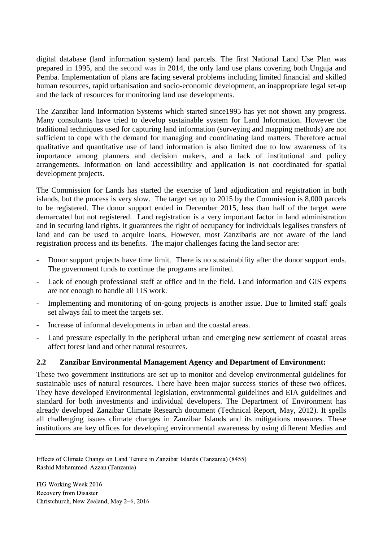digital database (land information system) land parcels. The first National Land Use Plan was prepared in 1995, and the second was in 2014, the only land use plans covering both Unguja and Pemba. Implementation of plans are facing several problems including limited financial and skilled human resources, rapid urbanisation and socio-economic development, an inappropriate legal set-up and the lack of resources for monitoring land use developments.

The Zanzibar land Information Systems which started since1995 has yet not shown any progress. Many consultants have tried to develop sustainable system for Land Information. However the traditional techniques used for capturing land information (surveying and mapping methods) are not sufficient to cope with the demand for managing and coordinating land matters. Therefore actual qualitative and quantitative use of land information is also limited due to low awareness of its importance among planners and decision makers, and a lack of institutional and policy arrangements. Information on land accessibility and application is not coordinated for spatial development projects.

The Commission for Lands has started the exercise of land adjudication and registration in both islands, but the process is very slow. The target set up to 2015 by the Commission is 8,000 parcels to be registered. The donor support ended in December 2015, less than half of the target were demarcated but not registered. Land registration is a very important factor in land administration and in securing land rights. It guarantees the right of occupancy for individuals legalises transfers of land and can be used to acquire loans. However, most Zanzibaris are not aware of the land registration process and its benefits. The major challenges facing the land sector are:

- Donor support projects have time limit. There is no sustainability after the donor support ends. The government funds to continue the programs are limited.
- Lack of enough professional staff at office and in the field. Land information and GIS experts are not enough to handle all LIS work.
- Implementing and monitoring of on-going projects is another issue. Due to limited staff goals set always fail to meet the targets set.
- Increase of informal developments in urban and the coastal areas.
- Land pressure especially in the peripheral urban and emerging new settlement of coastal areas affect forest land and other natural resources.

# <span id="page-3-0"></span>**2.2 Zanzibar Environmental Management Agency and Department of Environment:**

These two government institutions are set up to monitor and develop environmental guidelines for sustainable uses of natural resources. There have been major success stories of these two offices. They have developed Environmental legislation, environmental guidelines and EIA guidelines and standard for both investments and individual developers. The Department of Environment has already developed Zanzibar Climate Research document (Technical Report, May, 2012). It spells all challenging issues climate changes in Zanzibar Islands and its mitigations measures. These institutions are key offices for developing environmental awareness by using different Medias and

Effects of Climate Change on Land Tenure in Zanzibar Islands (Tanzania) (8455) Rashid Mohammed Azzan (Tanzania)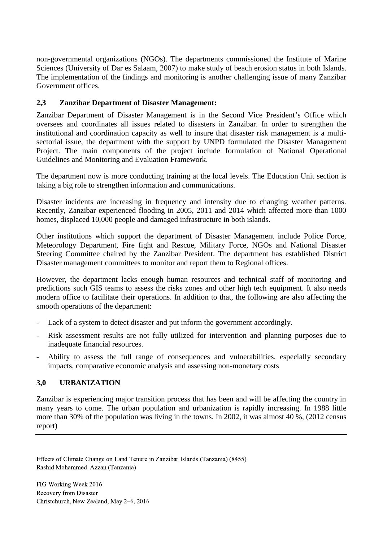non-governmental organizations (NGOs). The departments commissioned the Institute of Marine Sciences (University of Dar es Salaam, 2007) to make study of beach erosion status in both Islands. The implementation of the findings and monitoring is another challenging issue of many Zanzibar Government offices.

# <span id="page-4-0"></span>**2,3 Zanzibar Department of Disaster Management:**

Zanzibar Department of Disaster Management is in the Second Vice President's Office which oversees and coordinates all issues related to disasters in Zanzibar. In order to strengthen the institutional and coordination capacity as well to insure that disaster risk management is a multisectorial issue, the department with the support by UNPD formulated the Disaster Management Project. The main components of the project include formulation of National Operational Guidelines and Monitoring and Evaluation Framework.

The department now is more conducting training at the local levels. The Education Unit section is taking a big role to strengthen information and communications.

Disaster incidents are increasing in frequency and intensity due to changing weather patterns. Recently, Zanzibar experienced flooding in 2005, 2011 and 2014 which affected more than 1000 homes, displaced 10,000 people and damaged infrastructure in both islands.

Other institutions which support the department of Disaster Management include Police Force, Meteorology Department, Fire fight and Rescue, Military Force, NGOs and National Disaster Steering Committee chaired by the Zanzibar President. The department has established District Disaster management committees to monitor and report them to Regional offices.

However, the department lacks enough human resources and technical staff of monitoring and predictions such GIS teams to assess the risks zones and other high tech equipment. It also needs modern office to facilitate their operations. In addition to that, the following are also affecting the smooth operations of the department:

- Lack of a system to detect disaster and put inform the government accordingly.
- Risk assessment results are not fully utilized for intervention and planning purposes due to inadequate financial resources.
- Ability to assess the full range of consequences and vulnerabilities, especially secondary impacts, comparative economic analysis and assessing non-monetary costs

# <span id="page-4-1"></span>**3,0 URBANIZATION**

Zanzibar is experiencing major transition process that has been and will be affecting the country in many years to come. The urban population and urbanization is rapidly increasing. In 1988 little more than 30% of the population was living in the towns. In 2002, it was almost 40 %, (2012 census report)

Effects of Climate Change on Land Tenure in Zanzibar Islands (Tanzania) (8455) Rashid Mohammed Azzan (Tanzania)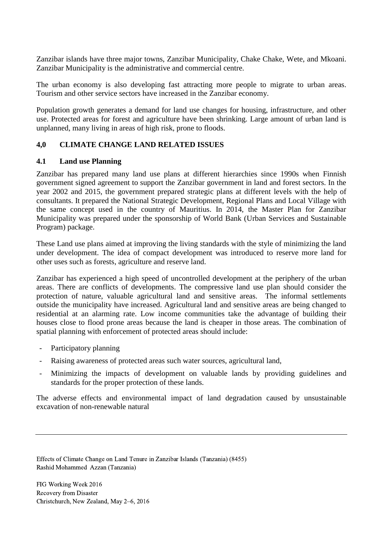Zanzibar islands have three major towns, Zanzibar Municipality, Chake Chake, Wete, and Mkoani. Zanzibar Municipality is the administrative and commercial centre.

The urban economy is also developing fast attracting more people to migrate to urban areas. Tourism and other service sectors have increased in the Zanzibar economy.

Population growth generates a demand for land use changes for housing, infrastructure, and other use. Protected areas for forest and agriculture have been shrinking. Large amount of urban land is unplanned, many living in areas of high risk, prone to floods.

# <span id="page-5-0"></span>**4,0 CLIMATE CHANGE LAND RELATED ISSUES**

#### <span id="page-5-1"></span>**4.1 Land use Planning**

Zanzibar has prepared many land use plans at different hierarchies since 1990s when Finnish government signed agreement to support the Zanzibar government in land and forest sectors. In the year 2002 and 2015, the government prepared strategic plans at different levels with the help of consultants. It prepared the National Strategic Development, Regional Plans and Local Village with the same concept used in the country of Mauritius. In 2014, the Master Plan for Zanzibar Municipality was prepared under the sponsorship of World Bank (Urban Services and Sustainable Program) package.

These Land use plans aimed at improving the living standards with the style of minimizing the land under development. The idea of compact development was introduced to reserve more land for other uses such as forests, agriculture and reserve land.

Zanzibar has experienced a high speed of uncontrolled development at the periphery of the urban areas. There are conflicts of developments. The compressive land use plan should consider the protection of nature, valuable agricultural land and sensitive areas. The informal settlements outside the municipality have increased. Agricultural land and sensitive areas are being changed to residential at an alarming rate. Low income communities take the advantage of building their houses close to flood prone areas because the land is cheaper in those areas. The combination of spatial planning with enforcement of protected areas should include:

- Participatory planning
- Raising awareness of protected areas such water sources, agricultural land,
- Minimizing the impacts of development on valuable lands by providing guidelines and standards for the proper protection of these lands.

The adverse effects and environmental impact of land degradation caused by unsustainable excavation of non-renewable natural

Effects of Climate Change on Land Tenure in Zanzibar Islands (Tanzania) (8455) Rashid Mohammed Azzan (Tanzania)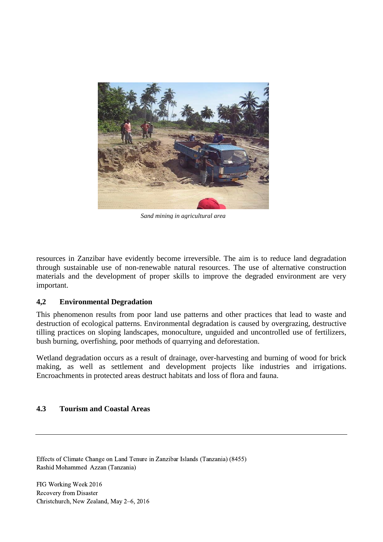

*Sand mining in agricultural area*

resources in Zanzibar have evidently become irreversible. The aim is to reduce land degradation through sustainable use of non-renewable natural resources. The use of alternative construction materials and the development of proper skills to improve the degraded environment are very important.

#### <span id="page-6-0"></span>**4,2 Environmental Degradation**

This phenomenon results from poor land use patterns and other practices that lead to waste and destruction of ecological patterns. Environmental degradation is caused by overgrazing, destructive tilling practices on sloping landscapes, monoculture, unguided and uncontrolled use of fertilizers, bush burning, overfishing, poor methods of quarrying and deforestation.

Wetland degradation occurs as a result of drainage, over-harvesting and burning of wood for brick making, as well as settlement and development projects like industries and irrigations. Encroachments in protected areas destruct habitats and loss of flora and fauna.

#### <span id="page-6-1"></span>**4.3 Tourism and Coastal Areas**

Effects of Climate Change on Land Tenure in Zanzibar Islands (Tanzania) (8455) Rashid Mohammed Azzan (Tanzania)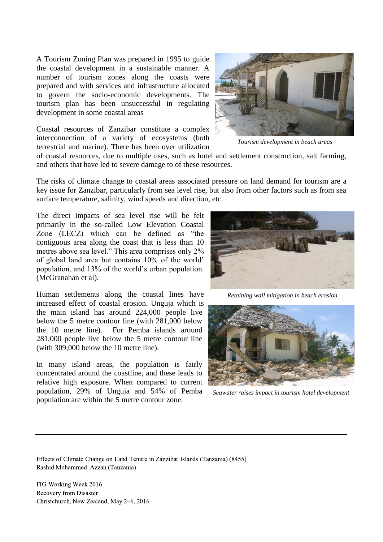A Tourism Zoning Plan was prepared in 1995 to guide the coastal development in a sustainable manner. A number of tourism zones along the coasts were prepared and with services and infrastructure allocated to govern the socio-economic developments. The tourism plan has been unsuccessful in regulating development in some coastal areas

Coastal resources of Zanzibar constitute a complex interconnection of a variety of ecosystems (both terrestrial and marine). There has been over utilization



*Tourism development in beach areas*

of coastal resources, due to multiple uses, such as hotel and settlement construction, salt farming, and others that have led to severe damage to of these resources.

The risks of climate change to coastal areas associated pressure on land demand for tourism are a key issue for Zanzibar, particularly from sea level rise, but also from other factors such as from sea surface temperature, salinity, wind speeds and direction, etc.

The direct impacts of sea level rise will be felt primarily in the so-called Low Elevation Coastal Zone (LECZ) which can be defined as "the contiguous area along the coast that is less than 10 metres above sea level." This area comprises only 2% of global land area but contains 10% of the world' population, and 13% of the world's urban population. (McGranahan et al).

Human settlements along the coastal lines have increased effect of coastal erosion. Unguja which is the main island has around 224,000 people live below the 5 metre contour line (with 281,000 below the 10 metre line). For Pemba islands around 281,000 people live below the 5 metre contour line (with 309,000 below the 10 metre line).

In many island areas, the population is fairly concentrated around the coastline, and these leads to relative high exposure. When compared to current population, 29% of Unguja and 54% of Pemba population are within the 5 metre contour zone.



*Retaining wall mitigation in beach erosion*



*Seawater raises impact in tourism hotel development*

Effects of Climate Change on Land Tenure in Zanzibar Islands (Tanzania) (8455) Rashid Mohammed Azzan (Tanzania)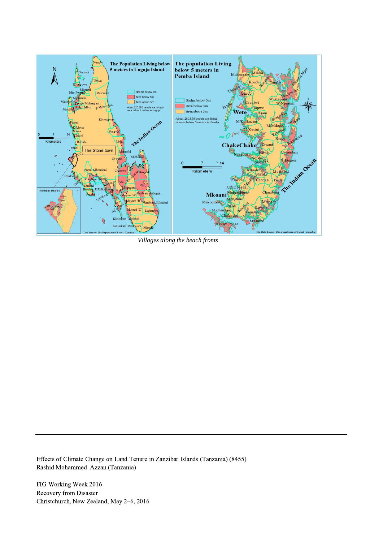

*Villages along the beach fronts*

Effects of Climate Change on Land Tenure in Zanzibar Islands (Tanzania) (8455) Rashid Mohammed Azzan (Tanzania)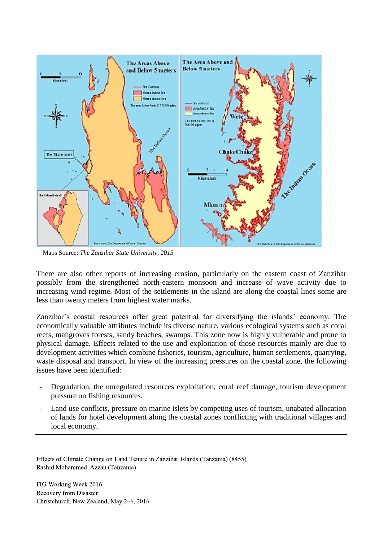

Maps Source: *The Zanzibar State University, 2015*

There are also other reports of increasing erosion, particularly on the eastern coast of Zanzibar possibly from the strengthened north-eastern monsoon and increase of wave activity due to increasing wind regime. Most of the settlements in the island are along the coastal lines some are less than twenty meters from highest water marks.

Zanzibar's coastal resources offer great potential for diversifying the islands' economy. The economically valuable attributes include its diverse nature, various ecological systems such as coral reefs, mangroves forests, sandy beaches, swamps. This zone now is highly vulnerable and prone to physical damage. Effects related to the use and exploitation of those resources mainly are due to development activities which combine fisheries, tourism, agriculture, human settlements, quarrying, waste disposal and transport. In view of the increasing pressures on the coastal zone, the following issues have been identified:

- Degradation, the unregulated resources exploitation, coral reef damage, tourism development pressure on fishing resources.
- Land use conflicts, pressure on marine islets by competing uses of tourism, unabated allocation of lands for hotel development along the coastal zones conflicting with traditional villages and local economy.

Effects of Climate Change on Land Tenure in Zanzibar Islands (Tanzania) (8455) Rashid Mohammed Azzan (Tanzania)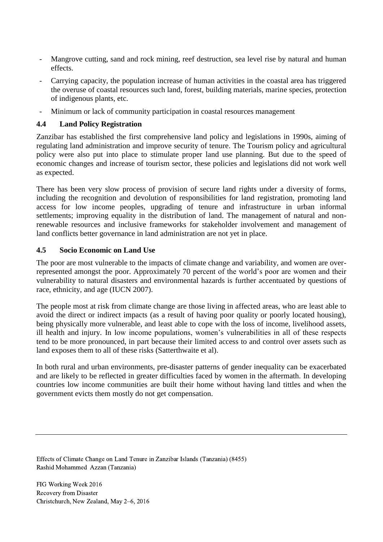- Mangrove cutting, sand and rock mining, reef destruction, sea level rise by natural and human effects.
- Carrying capacity, the population increase of human activities in the coastal area has triggered the overuse of coastal resources such land, forest, building materials, marine species, protection of indigenous plants, etc.
- Minimum or lack of community participation in coastal resources management

# <span id="page-10-0"></span>**4.4 Land Policy Registration**

Zanzibar has established the first comprehensive land policy and legislations in 1990s, aiming of regulating land administration and improve security of tenure. The Tourism policy and agricultural policy were also put into place to stimulate proper land use planning. But due to the speed of economic changes and increase of tourism sector, these policies and legislations did not work well as expected.

There has been very slow process of provision of secure land rights under a diversity of forms, including the recognition and devolution of responsibilities for land registration, promoting land access for low income peoples, upgrading of tenure and infrastructure in urban informal settlements; improving equality in the distribution of land. The management of natural and nonrenewable resources and inclusive frameworks for stakeholder involvement and management of land conflicts better governance in land administration are not yet in place.

# <span id="page-10-1"></span>**4.5 Socio Economic on Land Use**

The poor are most vulnerable to the impacts of climate change and variability, and women are overrepresented amongst the poor. Approximately 70 percent of the world's poor are women and their vulnerability to natural disasters and environmental hazards is further accentuated by questions of race, ethnicity, and age (IUCN 2007).

The people most at risk from climate change are those living in affected areas, who are least able to avoid the direct or indirect impacts (as a result of having poor quality or poorly located housing), being physically more vulnerable, and least able to cope with the loss of income, livelihood assets, ill health and injury. In low income populations, women's vulnerabilities in all of these respects tend to be more pronounced, in part because their limited access to and control over assets such as land exposes them to all of these risks (Satterthwaite et al).

In both rural and urban environments, pre-disaster patterns of gender inequality can be exacerbated and are likely to be reflected in greater difficulties faced by women in the aftermath. In developing countries low income communities are built their home without having land tittles and when the government evicts them mostly do not get compensation.

Effects of Climate Change on Land Tenure in Zanzibar Islands (Tanzania) (8455) Rashid Mohammed Azzan (Tanzania)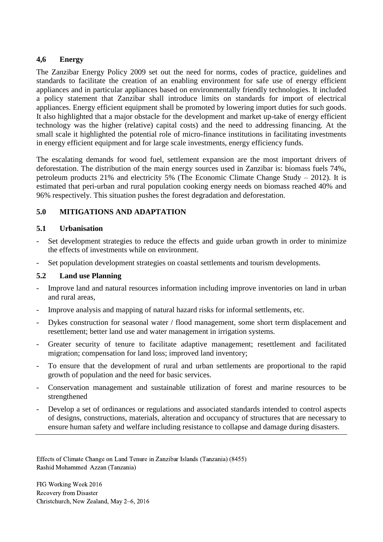# <span id="page-11-0"></span>**4,6 Energy**

The Zanzibar Energy Policy 2009 set out the need for norms, codes of practice, guidelines and standards to facilitate the creation of an enabling environment for safe use of energy efficient appliances and in particular appliances based on environmentally friendly technologies. It included a policy statement that Zanzibar shall introduce limits on standards for import of electrical appliances. Energy efficient equipment shall be promoted by lowering import duties for such goods. It also highlighted that a major obstacle for the development and market up-take of energy efficient technology was the higher (relative) capital costs) and the need to addressing financing. At the small scale it highlighted the potential role of micro-finance institutions in facilitating investments in energy efficient equipment and for large scale investments, energy efficiency funds.

The escalating demands for wood fuel, settlement expansion are the most important drivers of deforestation. The distribution of the main energy sources used in Zanzibar is: biomass fuels 74%, petroleum products 21% and electricity 5% (The Economic Climate Change Study – 2012). It is estimated that peri-urban and rural population cooking energy needs on biomass reached 40% and 96% respectively. This situation pushes the forest degradation and deforestation.

# <span id="page-11-1"></span>**5.0 MITIGATIONS AND ADAPTATION**

# <span id="page-11-2"></span>**5.1 Urbanisation**

- Set development strategies to reduce the effects and guide urban growth in order to minimize the effects of investments while on environment.
- Set population development strategies on coastal settlements and tourism developments.

# <span id="page-11-3"></span>**5.2 Land use Planning**

- Improve land and natural resources information including improve inventories on land in urban and rural areas,
- Improve analysis and mapping of natural hazard risks for informal settlements, etc.
- Dykes construction for seasonal water / flood management, some short term displacement and resettlement; better land use and water management in irrigation systems.
- Greater security of tenure to facilitate adaptive management; resettlement and facilitated migration; compensation for land loss; improved land inventory;
- To ensure that the development of rural and urban settlements are proportional to the rapid growth of population and the need for basic services.
- Conservation management and sustainable utilization of forest and marine resources to be strengthened
- Develop a set of ordinances or regulations and associated standards intended to control aspects of designs, constructions, materials, alteration and occupancy of structures that are necessary to ensure human safety and welfare including resistance to collapse and damage during disasters.

Effects of Climate Change on Land Tenure in Zanzibar Islands (Tanzania) (8455) Rashid Mohammed Azzan (Tanzania)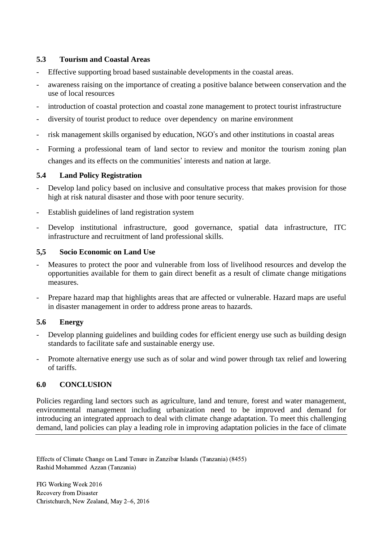### <span id="page-12-0"></span>**5.3 Tourism and Coastal Areas**

- Effective supporting broad based sustainable developments in the coastal areas.
- awareness raising on the importance of creating a positive balance between conservation and the use of local resources
- introduction of coastal protection and coastal zone management to protect tourist infrastructure
- diversity of tourist product to reduce over dependency on marine environment
- risk management skills organised by education, NGO's and other institutions in coastal areas
- Forming a professional team of land sector to review and monitor the tourism zoning plan changes and its effects on the communities' interests and nation at large.

# <span id="page-12-1"></span>**5.4 Land Policy Registration**

- Develop land policy based on inclusive and consultative process that makes provision for those high at risk natural disaster and those with poor tenure security.
- Establish guidelines of land registration system
- Develop institutional infrastructure, good governance, spatial data infrastructure, ITC infrastructure and recruitment of land professional skills.

#### <span id="page-12-2"></span>**5,5 Socio Economic on Land Use**

- Measures to protect the poor and vulnerable from loss of livelihood resources and develop the opportunities available for them to gain direct benefit as a result of climate change mitigations measures.
- Prepare hazard map that highlights areas that are affected or vulnerable. Hazard maps are useful in disaster management in order to address prone areas to hazards.

# <span id="page-12-3"></span>**5.6 Energy**

- Develop planning guidelines and building codes for efficient energy use such as building design standards to facilitate safe and sustainable energy use.
- Promote alternative energy use such as of solar and wind power through tax relief and lowering of tariffs.

# <span id="page-12-4"></span>**6.0 CONCLUSION**

Policies regarding land sectors such as agriculture, land and tenure, forest and water management, environmental management including urbanization need to be improved and demand for introducing an integrated approach to deal with climate change adaptation. To meet this challenging demand, land policies can play a leading role in improving adaptation policies in the face of climate

Effects of Climate Change on Land Tenure in Zanzibar Islands (Tanzania) (8455) Rashid Mohammed Azzan (Tanzania)